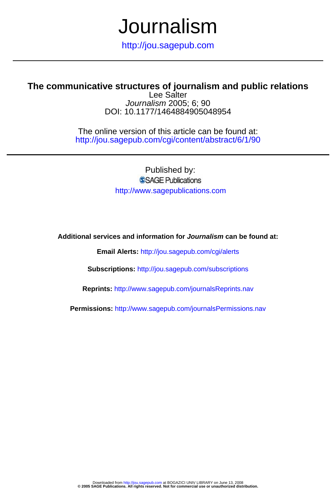# Journalism

http://jou.sagepub.com

### **The communicative structures of journalism and public relations**

DOI: 10.1177/1464884905048954 Journalism 2005; 6; 90 Lee Salter

http://jou.sagepub.com/cgi/content/abstract/6/1/90 The online version of this article can be found at:

> Published by: SSAGE Publications http://www.sagepublications.com

**Additional services and information for Journalism can be found at:**

**Email Alerts:** <http://jou.sagepub.com/cgi/alerts>

**Subscriptions:** <http://jou.sagepub.com/subscriptions>

**Reprints:** <http://www.sagepub.com/journalsReprints.nav>

**Permissions:** <http://www.sagepub.com/journalsPermissions.nav>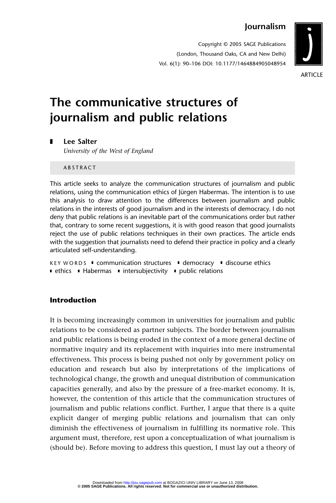#### **Journalism**

Copyright © 2005 SAGE Publications (London, Thousand Oaks, CA and New Delhi) Vol. 6(1): 90–106 DOI: 10.1177/1464884905048954



## **The communicative structures of journalism and public relations**

#### <sup>j</sup> **Lee Salter**

*University of the West of England*

ABSTRACT

This article seeks to analyze the communication structures of journalism and public relations, using the communication ethics of Jürgen Habermas. The intention is to use this analysis to draw attention to the differences between journalism and public relations in the interests of good journalism and in the interests of democracy. I do not deny that public relations is an inevitable part of the communications order but rather that, contrary to some recent suggestions, it is with good reason that good journalists reject the use of public relations techniques in their own practices. The article ends with the suggestion that journalists need to defend their practice in policy and a clearly articulated self-understanding.

KEY WORDS **Communication structures democracy discourse ethics**  $\bullet$  ethics  $\bullet$  Habermas  $\bullet$  intersubjectivity  $\bullet$  public relations

#### **Introduction**

It is becoming increasingly common in universities for journalism and public relations to be considered as partner subjects. The border between journalism and public relations is being eroded in the context of a more general decline of normative inquiry and its replacement with inquiries into mere instrumental effectiveness. This process is being pushed not only by government policy on education and research but also by interpretations of the implications of technological change, the growth and unequal distribution of communication capacities generally, and also by the pressure of a free-market economy. It is, however, the contention of this article that the communication structures of journalism and public relations conflict. Further, I argue that there is a quite explicit danger of merging public relations and journalism that can only diminish the effectiveness of journalism in fulfilling its normative role. This argument must, therefore, rest upon a conceptualization of what journalism is (should be). Before moving to address this question, I must lay out a theory of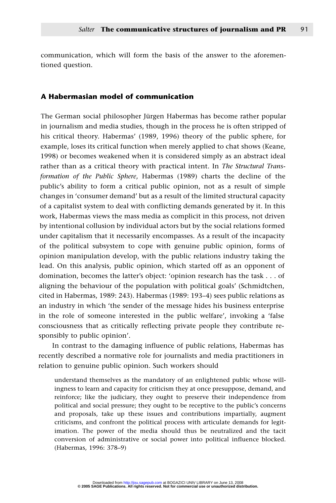communication, which will form the basis of the answer to the aforementioned question.

#### **A Habermasian model of communication**

The German social philosopher Jürgen Habermas has become rather popular in journalism and media studies, though in the process he is often stripped of his critical theory. Habermas' (1989, 1996) theory of the public sphere, for example, loses its critical function when merely applied to chat shows (Keane, 1998) or becomes weakened when it is considered simply as an abstract ideal rather than as a critical theory with practical intent. In *The Structural Transformation of the Public Sphere*, Habermas (1989) charts the decline of the public's ability to form a critical public opinion, not as a result of simple changes in 'consumer demand' but as a result of the limited structural capacity of a capitalist system to deal with conflicting demands generated by it. In this work, Habermas views the mass media as complicit in this process, not driven by intentional collusion by individual actors but by the social relations formed under capitalism that it necessarily encompasses. As a result of the incapacity of the political subsystem to cope with genuine public opinion, forms of opinion manipulation develop, with the public relations industry taking the lead. On this analysis, public opinion, which started off as an opponent of domination, becomes the latter's object: 'opinion research has the task . . . of aligning the behaviour of the population with political goals' (Schmidtchen, cited in Habermas, 1989: 243). Habermas (1989: 193–4) sees public relations as an industry in which 'the sender of the message hides his business enterprise in the role of someone interested in the public welfare', invoking a 'false consciousness that as critically reflecting private people they contribute responsibly to public opinion'.

In contrast to the damaging influence of public relations, Habermas has recently described a normative role for journalists and media practitioners in relation to genuine public opinion. Such workers should

understand themselves as the mandatory of an enlightened public whose willingness to learn and capacity for criticism they at once presuppose, demand, and reinforce; like the judiciary, they ought to preserve their independence from political and social pressure; they ought to be receptive to the public's concerns and proposals, take up these issues and contributions impartially, augment criticisms, and confront the political process with articulate demands for legitimation. The power of the media should thus be neutralized and the tacit conversion of administrative or social power into political influence blocked. (Habermas, 1996: 378–9)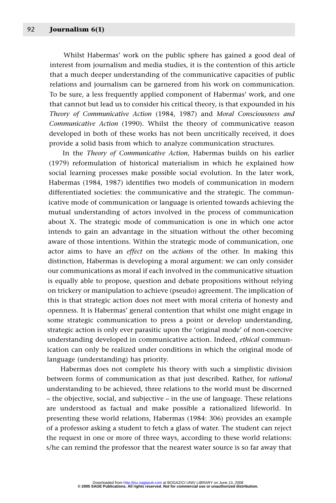Whilst Habermas' work on the public sphere has gained a good deal of interest from journalism and media studies, it is the contention of this article that a much deeper understanding of the communicative capacities of public relations and journalism can be garnered from his work on communication. To be sure, a less frequently applied component of Habermas' work, and one that cannot but lead us to consider his critical theory, is that expounded in his *Theory of Communicative Action* (1984, 1987) and *Moral Consciousness and Communicative Action* (1990). Whilst the theory of communicative reason developed in both of these works has not been uncritically received, it does provide a solid basis from which to analyze communication structures.

In the *Theory of Communicative Action*, Habermas builds on his earlier (1979) reformulation of historical materialism in which he explained how social learning processes make possible social evolution. In the later work, Habermas (1984, 1987) identifies two models of communication in modern differentiated societies: the communicative and the strategic. The communicative mode of communication or language is oriented towards achieving the mutual understanding of actors involved in the process of communication about X. The strategic mode of communication is one in which one actor intends to gain an advantage in the situation without the other becoming aware of those intentions. Within the strategic mode of communication, one actor aims to have an *effect* on the *actions* of the other. In making this distinction, Habermas is developing a moral argument: we can only consider our communications as moral if each involved in the communicative situation is equally able to propose, question and debate propositions without relying on trickery or manipulation to achieve (pseudo) agreement. The implication of this is that strategic action does not meet with moral criteria of honesty and openness. It is Habermas' general contention that whilst one might engage in some strategic communication to press a point or develop understanding, strategic action is only ever parasitic upon the 'original mode' of non-coercive understanding developed in communicative action. Indeed, *ethical* communication can only be realized under conditions in which the original mode of language (understanding) has priority.

Habermas does not complete his theory with such a simplistic division between forms of communication as that just described. Rather, for *rational* understanding to be achieved, three relations to the world must be discerned – the objective, social, and subjective – in the use of language. These relations are understood as factual and make possible a rationalized lifeworld. In presenting these world relations, Habermas (1984: 306) provides an example of a professor asking a student to fetch a glass of water. The student can reject the request in one or more of three ways, according to these world relations: s/he can remind the professor that the nearest water source is so far away that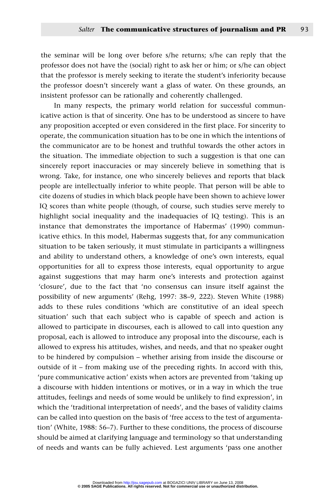the seminar will be long over before s/he returns; s/he can reply that the professor does not have the (social) right to ask her or him; or s/he can object that the professor is merely seeking to iterate the student's inferiority because the professor doesn't sincerely want a glass of water. On these grounds, an insistent professor can be rationally and coherently challenged.

In many respects, the primary world relation for successful communicative action is that of sincerity. One has to be understood as sincere to have any proposition accepted or even considered in the first place. For sincerity to operate, the communication situation has to be one in which the intentions of the communicator are to be honest and truthful towards the other actors in the situation. The immediate objection to such a suggestion is that one can sincerely report inaccuracies or may sincerely believe in something that is wrong. Take, for instance, one who sincerely believes and reports that black people are intellectually inferior to white people. That person will be able to cite dozens of studies in which black people have been shown to achieve lower IQ scores than white people (though, of course, such studies serve merely to highlight social inequality and the inadequacies of IQ testing). This is an instance that demonstrates the importance of Habermas' (1990) communicative ethics. In this model, Habermas suggests that, for any communication situation to be taken seriously, it must stimulate in participants a willingness and ability to understand others, a knowledge of one's own interests, equal opportunities for all to express those interests, equal opportunity to argue against suggestions that may harm one's interests and protection against 'closure', due to the fact that 'no consensus can insure itself against the possibility of new arguments' (Rehg, 1997: 38–9, 222). Steven White (1988) adds to these rules conditions 'which are constitutive of an ideal speech situation' such that each subject who is capable of speech and action is allowed to participate in discourses, each is allowed to call into question any proposal, each is allowed to introduce any proposal into the discourse, each is allowed to express his attitudes, wishes, and needs, and that no speaker ought to be hindered by compulsion – whether arising from inside the discourse or outside of it – from making use of the preceding rights. In accord with this, 'pure communicative action' exists when actors are prevented from 'taking up a discourse with hidden intentions or motives, or in a way in which the true attitudes, feelings and needs of some would be unlikely to find expression', in which the 'traditional interpretation of needs', and the bases of validity claims can be called into question on the basis of 'free access to the test of argumentation' (White, 1988: 56–7). Further to these conditions, the process of discourse should be aimed at clarifying language and terminology so that understanding of needs and wants can be fully achieved. Lest arguments 'pass one another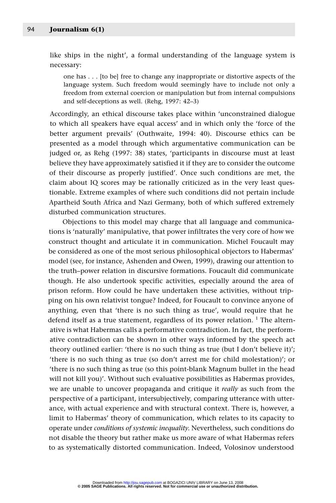like ships in the night', a formal understanding of the language system is necessary:

one has . . . [to be] free to change any inappropriate or distortive aspects of the language system. Such freedom would seemingly have to include not only a freedom from external coercion or manipulation but from internal compulsions and self-deceptions as well. (Rehg, 1997: 42–3)

Accordingly, an ethical discourse takes place within 'unconstrained dialogue to which all speakers have equal access' and in which only the 'force of the better argument prevails' (Outhwaite, 1994: 40). Discourse ethics can be presented as a model through which argumentative communication can be judged or, as Rehg (1997: 38) states, 'participants in discourse must at least believe they have approximately satisfied it if they are to consider the outcome of their discourse as properly justified'. Once such conditions are met, the claim about IQ scores may be rationally criticized as in the very least questionable. Extreme examples of where such conditions did not pertain include Apartheid South Africa and Nazi Germany, both of which suffered extremely disturbed communication structures.

Objections to this model may charge that all language and communications is 'naturally' manipulative, that power infiltrates the very core of how we construct thought and articulate it in communication. Michel Foucault may be considered as one of the most serious philosophical objectors to Habermas' model (see, for instance, Ashenden and Owen, 1999), drawing our attention to the truth–power relation in discursive formations. Foucault did communicate though. He also undertook specific activities, especially around the area of prison reform. How could he have undertaken these activities, without tripping on his own relativist tongue? Indeed, for Foucault to convince anyone of anything, even that 'there is no such thing as true', would require that he defend itself as a true statement, regardless of its power relation.  $1$  The alternative is what Habermas calls a performative contradiction. In fact, the performative contradiction can be shown in other ways informed by the speech act theory outlined earlier: 'there is no such thing as true (but I don't believe it)'; 'there is no such thing as true (so don't arrest me for child molestation)'; or 'there is no such thing as true (so this point-blank Magnum bullet in the head will not kill you)'. Without such evaluative possibilities as Habermas provides, we are unable to uncover propaganda and critique it *really* as such from the perspective of a participant, intersubjectively, comparing utterance with utterance, with actual experience and with structural context. There is, however, a limit to Habermas' theory of communication, which relates to its capacity to operate under *conditions of systemic inequality*. Nevertheless, such conditions do not disable the theory but rather make us more aware of what Habermas refers to as systematically distorted communication. Indeed, Volosinov understood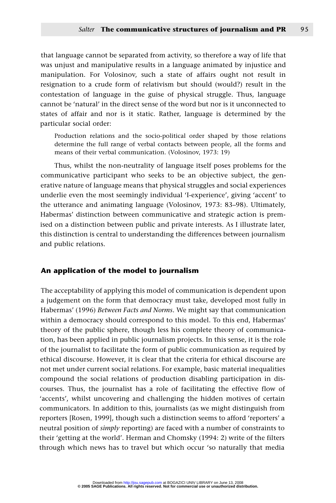that language cannot be separated from activity, so therefore a way of life that was unjust and manipulative results in a language animated by injustice and manipulation. For Volosinov, such a state of affairs ought not result in resignation to a crude form of relativism but should (would?) result in the contestation of language in the guise of physical struggle. Thus, language cannot be 'natural' in the direct sense of the word but nor is it unconnected to states of affair and nor is it static. Rather, language is determined by the particular social order:

Production relations and the socio-political order shaped by those relations determine the full range of verbal contacts between people, all the forms and means of their verbal communication. (Volosinov, 1973: 19)

Thus, whilst the non-neutrality of language itself poses problems for the communicative participant who seeks to be an objective subject, the generative nature of language means that physical struggles and social experiences underlie even the most seemingly individual 'I-experience', giving 'accent' to the utterance and animating language (Volosinov, 1973: 83–98). Ultimately, Habermas' distinction between communicative and strategic action is premised on a distinction between public and private interests. As I illustrate later, this distinction is central to understanding the differences between journalism and public relations.

#### **An application of the model to journalism**

The acceptability of applying this model of communication is dependent upon a judgement on the form that democracy must take, developed most fully in Habermas' (1996) *Between Facts and Norms.* We might say that communication within a democracy should correspond to this model. To this end, Habermas' theory of the public sphere, though less his complete theory of communication, has been applied in public journalism projects. In this sense, it is the role of the journalist to facilitate the form of public communication as required by ethical discourse. However, it is clear that the criteria for ethical discourse are not met under current social relations. For example, basic material inequalities compound the social relations of production disabling participation in discourses. Thus, the journalist has a role of facilitating the effective flow of 'accents', whilst uncovering and challenging the hidden motives of certain communicators. In addition to this, journalists (as we might distinguish from reporters [Rosen, 1999], though such a distinction seems to afford 'reporters' a neutral position of *simply* reporting) are faced with a number of constraints to their 'getting at the world'. Herman and Chomsky (1994: 2) write of the filters through which news has to travel but which occur 'so naturally that media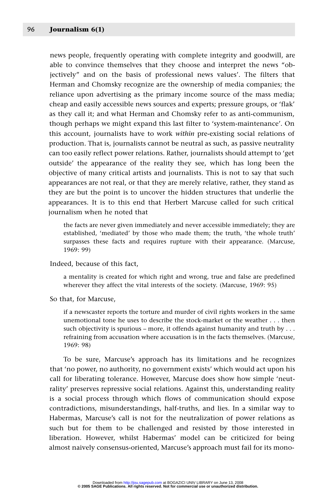news people, frequently operating with complete integrity and goodwill, are able to convince themselves that they choose and interpret the news "objectively" and on the basis of professional news values'. The filters that Herman and Chomsky recognize are the ownership of media companies; the reliance upon advertising as the primary income source of the mass media; cheap and easily accessible news sources and experts; pressure groups, or 'flak' as they call it; and what Herman and Chomsky refer to as anti-communism, though perhaps we might expand this last filter to 'system-maintenance'. On this account, journalists have to work *within* pre-existing social relations of production. That is, journalists cannot be neutral as such, as passive neutrality can too easily reflect power relations. Rather, journalists should attempt to 'get outside' the appearance of the reality they see, which has long been the objective of many critical artists and journalists. This is not to say that such appearances are not real, or that they are merely relative, rather, they stand as they are but the point is to uncover the hidden structures that underlie the appearances. It is to this end that Herbert Marcuse called for such critical journalism when he noted that

the facts are never given immediately and never accessible immediately; they are established, 'mediated' by those who made them; the truth, 'the whole truth' surpasses these facts and requires rupture with their appearance. (Marcuse, 1969: 99)

Indeed, because of this fact,

a mentality is created for which right and wrong, true and false are predefined wherever they affect the vital interests of the society. (Marcuse, 1969: 95)

So that, for Marcuse,

if a newscaster reports the torture and murder of civil rights workers in the same unemotional tone he uses to describe the stock-market or the weather . . . then such objectivity is spurious – more, it offends against humanity and truth by  $\dots$ refraining from accusation where accusation is in the facts themselves. (Marcuse, 1969: 98)

To be sure, Marcuse's approach has its limitations and he recognizes that 'no power, no authority, no government exists' which would act upon his call for liberating tolerance. However, Marcuse does show how simple 'neutrality' preserves repressive social relations. Against this, understanding reality is a social process through which flows of communication should expose contradictions, misunderstandings, half-truths, and lies. In a similar way to Habermas, Marcuse's call is not for the neutralization of power relations as such but for them to be challenged and resisted by those interested in liberation. However, whilst Habermas' model can be criticized for being almost naively consensus-oriented, Marcuse's approach must fail for its mono-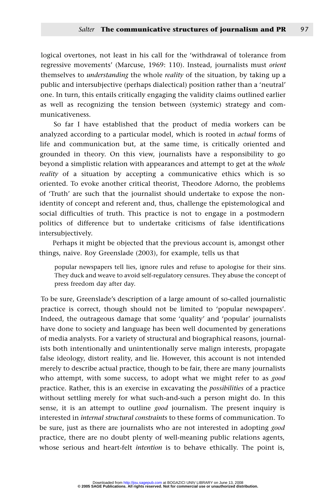logical overtones, not least in his call for the 'withdrawal of tolerance from regressive movements' (Marcuse, 1969: 110). Instead, journalists must *orient* themselves to *understanding* the whole *reality* of the situation, by taking up a public and intersubjective (perhaps dialectical) position rather than a 'neutral' one. In turn, this entails critically engaging the validity claims outlined earlier as well as recognizing the tension between (systemic) strategy and communicativeness.

So far I have established that the product of media workers can be analyzed according to a particular model, which is rooted in *actual* forms of life and communication but, at the same time, is critically oriented and grounded in theory. On this view, journalists have a responsibility to go beyond a simplistic relation with appearances and attempt to get at the *whole reality* of a situation by accepting a communicative ethics which is so oriented. To evoke another critical theorist, Theodore Adorno, the problems of 'Truth' are such that the journalist should undertake to expose the nonidentity of concept and referent and, thus, challenge the epistemological and social difficulties of truth. This practice is not to engage in a postmodern politics of difference but to undertake criticisms of false identifications intersubjectively.

Perhaps it might be objected that the previous account is, amongst other things, naive. Roy Greenslade (2003), for example, tells us that

popular newspapers tell lies, ignore rules and refuse to apologise for their sins. They duck and weave to avoid self-regulatory censures. They abuse the concept of press freedom day after day.

To be sure, Greenslade's description of a large amount of so-called journalistic practice is correct, though should not be limited to 'popular newspapers'. Indeed, the outrageous damage that some 'quality' and 'popular' journalists have done to society and language has been well documented by generations of media analysts. For a variety of structural and biographical reasons, journalists both intentionally and unintentionally serve malign interests, propagate false ideology, distort reality, and lie. However, this account is not intended merely to describe actual practice, though to be fair, there are many journalists who attempt, with some success, to adopt what we might refer to as *good* practice. Rather, this is an exercise in excavating the *possibilities* of a practice without settling merely for what such-and-such a person might do. In this sense, it is an attempt to outline *good* journalism. The present inquiry is interested in *internal structural constraints* to these forms of communication. To be sure, just as there are journalists who are not interested in adopting *good* practice, there are no doubt plenty of well-meaning public relations agents, whose serious and heart-felt *intention* is to behave ethically. The point is,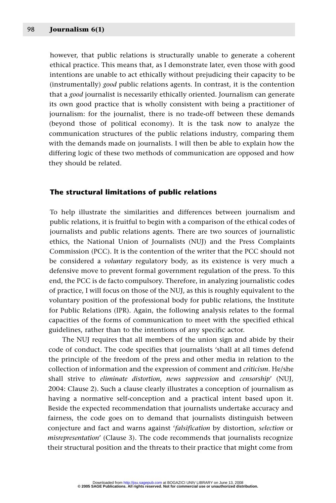however, that public relations is structurally unable to generate a coherent ethical practice. This means that, as I demonstrate later, even those with good intentions are unable to act ethically without prejudicing their capacity to be (instrumentally) *good* public relations agents. In contrast, it is the contention that a *good* journalist is necessarily ethically oriented. Journalism can generate its own good practice that is wholly consistent with being a practitioner of journalism: for the journalist, there is no trade-off between these demands (beyond those of political economy). It is the task now to analyze the communication structures of the public relations industry, comparing them with the demands made on journalists. I will then be able to explain how the differing logic of these two methods of communication are opposed and how they should be related.

#### **The structural limitations of public relations**

To help illustrate the similarities and differences between journalism and public relations, it is fruitful to begin with a comparison of the ethical codes of journalists and public relations agents. There are two sources of journalistic ethics, the National Union of Journalists (NUJ) and the Press Complaints Commission (PCC). It is the contention of the writer that the PCC should not be considered a *voluntary* regulatory body, as its existence is very much a defensive move to prevent formal government regulation of the press. To this end, the PCC is de facto compulsory. Therefore, in analyzing journalistic codes of practice, I will focus on those of the NUJ, as this is roughly equivalent to the voluntary position of the professional body for public relations, the Institute for Public Relations (IPR). Again, the following analysis relates to the formal capacities of the forms of communication to meet with the specified ethical guidelines, rather than to the intentions of any specific actor.

The NUJ requires that all members of the union sign and abide by their code of conduct. The code specifies that journalists 'shall at all times defend the principle of the freedom of the press and other media in relation to the collection of information and the expression of comment and *criticism*. He/she shall strive to *eliminate distortion*, *news suppression* and *censorship*' (NUJ, 2004: Clause 2). Such a clause clearly illustrates a conception of journalism as having a normative self-conception and a practical intent based upon it. Beside the expected recommendation that journalists undertake accuracy and fairness, the code goes on to demand that journalists distinguish between conjecture and fact and warns against '*falsification* by distortion, *selection* or *misrepresentation*' (Clause 3). The code recommends that journalists recognize their structural position and the threats to their practice that might come from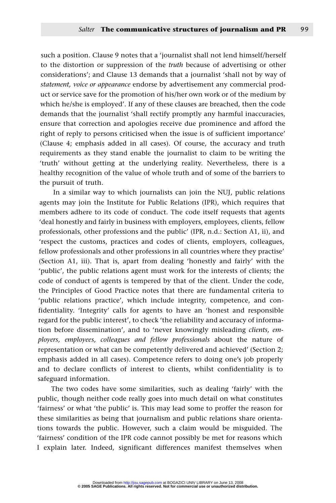such a position. Clause 9 notes that a 'journalist shall not lend himself/herself to the distortion or suppression of the *truth* because of advertising or other considerations'; and Clause 13 demands that a journalist 'shall not by way of *statement, voice or appearance* endorse by advertisement any commercial product or service save for the promotion of his/her own work or of the medium by which he/she is employed'. If any of these clauses are breached, then the code demands that the journalist 'shall rectify promptly any harmful inaccuracies, ensure that correction and apologies receive due prominence and afford the right of reply to persons criticised when the issue is of sufficient importance' (Clause 4; emphasis added in all cases). Of course, the accuracy and truth requirements as they stand enable the journalist to claim to be writing the 'truth' without getting at the underlying reality. Nevertheless, there is a healthy recognition of the value of whole truth and of some of the barriers to the pursuit of truth.

In a similar way to which journalists can join the NUJ, public relations agents may join the Institute for Public Relations (IPR), which requires that members adhere to its code of conduct. The code itself requests that agents 'deal honestly and fairly in business with employers, employees, clients, fellow professionals, other professions and the public' (IPR, n.d.: Section A1, ii), and 'respect the customs, practices and codes of clients, employers, colleagues, fellow professionals and other professions in all countries where they practise' (Section A1, iii). That is, apart from dealing 'honestly and fairly' with the 'public', the public relations agent must work for the interests of clients; the code of conduct of agents is tempered by that of the client. Under the code, the Principles of Good Practice notes that there are fundamental criteria to 'public relations practice', which include integrity, competence, and confidentiality. 'Integrity' calls for agents to have an 'honest and responsible regard for the public interest', to check 'the reliability and accuracy of information before dissemination', and to 'never knowingly misleading *clients, employers, employees, colleagues and fellow professionals* about the nature of representation or what can be competently delivered and achieved' (Section 2; emphasis added in all cases). Competence refers to doing one's job properly and to declare conflicts of interest to clients, whilst confidentiality is to safeguard information.

The two codes have some similarities, such as dealing 'fairly' with the public, though neither code really goes into much detail on what constitutes 'fairness' or what 'the public' is. This may lead some to proffer the reason for these similarities as being that journalism and public relations share orientations towards the public. However, such a claim would be misguided. The 'fairness' condition of the IPR code cannot possibly be met for reasons which I explain later. Indeed, significant differences manifest themselves when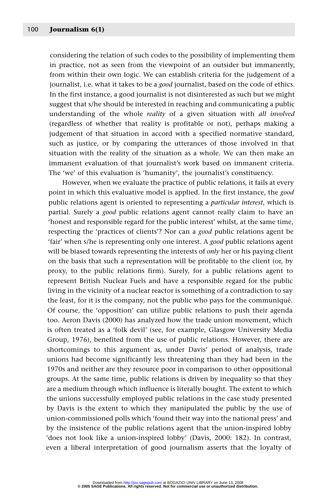considering the relation of such codes to the possibility of implementing them in practice, not as seen from the viewpoint of an outsider but immanently, from within their own logic. We can establish criteria for the judgement of a journalist, i.e. what it takes to be a *good* journalist, based on the code of ethics. In the first instance, a good journalist is not disinterested as such but we might suggest that s/he should be interested in reaching and communicating a public understanding of the whole *reality* of a given situation with *all involved* (regardless of whether that reality is profitable or not), perhaps making a judgement of that situation in accord with a specified normative standard, such as justice, or by comparing the utterances of those involved in that situation with the reality of the situation as a whole. We can then make an immanent evaluation of that journalist's work based on immanent criteria. The 'we' of this evaluation is 'humanity', the journalist's constituency.

However, when we evaluate the practice of public relations, it fails at every point in which this evaluative model is applied. In the first instance, the *good* public relations agent is oriented to representing a *particular interest*, which is partial. Surely a *good* public relations agent cannot really claim to have an 'honest and responsible regard for the public interest' whilst, at the same time, respecting the 'practices of clients'? Nor can a *good* public relations agent be 'fair' when s/he is representing only one interest. A *good* public relations agent will be biased towards representing the interests of *only* her or his paying client on the basis that such a representation will be profitable to the client (or, by proxy, to the public relations firm). Surely, for a public relations agent to represent British Nuclear Fuels and have a responsible regard for the public living in the vicinity of a nuclear reactor is something of a contradiction to say the least, for it is the company, not the public who pays for the communiqué. Of course, the 'opposition' can utilize public relations to push their agenda too. Aeron Davis (2000) has analyzed how the trade union movement, which is often treated as a 'folk devil' (see, for example, Glasgow University Media Group, 1976), benefited from the use of public relations. However, there are shortcomings to this argument as, under Davis' period of analysis, trade unions had become significantly less threatening than they had been in the 1970s and neither are they resource poor in comparison to other oppositional groups. At the same time, public relations is driven by inequality so that they are a medium through which influence is literally bought. The extent to which the unions successfully employed public relations in the case study presented by Davis is the extent to which they manipulated the public by the use of union-commissioned polls which 'found their way into the national press' and by the insistence of the public relations agent that the union-inspired lobby 'does not look like a union-inspired lobby' (Davis, 2000: 182). In contrast, even a liberal interpretation of good journalism asserts that the loyalty of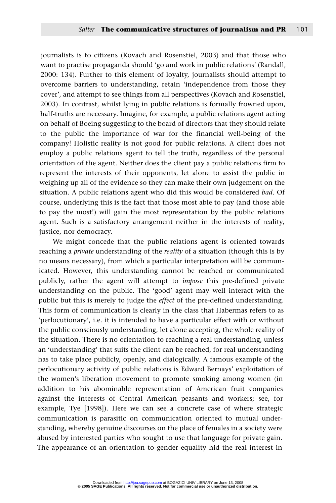journalists is to citizens (Kovach and Rosenstiel, 2003) and that those who want to practise propaganda should 'go and work in public relations' (Randall, 2000: 134). Further to this element of loyalty, journalists should attempt to overcome barriers to understanding, retain 'independence from those they cover', and attempt to see things from all perspectives (Kovach and Rosenstiel, 2003). In contrast, whilst lying in public relations is formally frowned upon, half-truths are necessary. Imagine, for example, a public relations agent acting on behalf of Boeing suggesting to the board of directors that they should relate to the public the importance of war for the financial well-being of the company! Holistic reality is not good for public relations. A client does not employ a public relations agent to tell the truth, regardless of the personal orientation of the agent. Neither does the client pay a public relations firm to represent the interests of their opponents, let alone to assist the public in weighing up all of the evidence so they can make their own judgement on the situation. A public relations agent who did this would be considered *bad*. Of course, underlying this is the fact that those most able to pay (and those able to pay the most!) will gain the most representation by the public relations agent. Such is a satisfactory arrangement neither in the interests of reality, justice, nor democracy.

We might concede that the public relations agent is oriented towards reaching a *private* understanding of the *reality* of a situation (though this is by no means necessary), from which a particular interpretation will be communicated. However, this understanding cannot be reached or communicated publicly, rather the agent will attempt to *impose* this pre-defined private understanding on the public. The 'good' agent may well interact with the public but this is merely to judge the *effect* of the pre-defined understanding. This form of communication is clearly in the class that Habermas refers to as 'perlocutionary', i.e. it is intended to have a particular effect with or without the public consciously understanding, let alone accepting, the whole reality of the situation. There is no orientation to reaching a real understanding, unless an 'understanding' that suits the client can be reached, for real understanding has to take place publicly, openly, and dialogically. A famous example of the perlocutionary activity of public relations is Edward Bernays' exploitation of the women's liberation movement to promote smoking among women (in addition to his abominable representation of American fruit companies against the interests of Central American peasants and workers; see, for example, Tye [1998]). Here we can see a concrete case of where strategic communication is parasitic on communication oriented to mutual understanding, whereby genuine discourses on the place of females in a society were abused by interested parties who sought to use that language for private gain. The appearance of an orientation to gender equality hid the real interest in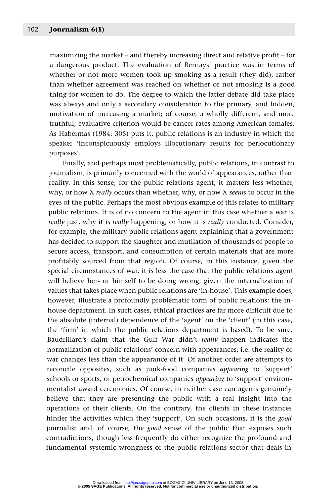maximizing the market – and thereby increasing direct and relative profit – for a dangerous product. The evaluation of Bernays' practice was in terms of whether or not more women took up smoking as a result (they did), rather than whether agreement was reached on whether or not smoking is a good thing for women to do. The degree to which the latter debate did take place was always and only a secondary consideration to the primary, and hidden, motivation of increasing a market; of course, a wholly different, and more truthful, evaluative criterion would be cancer rates among American females. As Habermas (1984: 305) puts it, public relations is an industry in which the speaker 'inconspicuously employs illocutionary results for perlocutionary purposes'.

Finally, and perhaps most problematically, public relations, in contrast to journalism, is primarily concerned with the world of appearances, rather than reality. In this sense, for the public relations agent, it matters less whether, why, or how X *really* occurs than whether, why, or how X *seems* to occur in the eyes of the public. Perhaps the most obvious example of this relates to military public relations. It is of no concern to the agent in this case whether a war is *really* just, why it is *really* happening, or how it is *really* conducted. Consider, for example, the military public relations agent explaining that a government has decided to support the slaughter and mutilation of thousands of people to secure access, transport, and consumption of certain materials that are more profitably sourced from that region. Of course, in this instance, given the special circumstances of war, it is less the case that the public relations agent will believe her- or himself to be doing wrong, given the internalization of values that takes place when public relations are 'in-house'. This example does, however, illustrate a profoundly problematic form of public relations: the inhouse department. In such cases, ethical practices are far more difficult due to the absolute (internal) dependence of the 'agent' on the 'client' (in this case, the 'firm' in which the public relations department is based). To be sure, Baudrillard's claim that the Gulf War didn't *really* happen indicates the normalization of public relations' concern with appearances; i.e. the reality of war changes less than the appearance of it. Of another order are attempts to reconcile opposites, such as junk-food companies *appearing* to 'support' schools or sports, or petrochemical companies *appearing* to 'support' environmentalist award ceremonies. Of course, in neither case can agents genuinely believe that they are presenting the public with a real insight into the operations of their clients. On the contrary, the clients in these instances hinder the activities which they 'support'. On such occasions, it is the *good* journalist and, of course, the *good* sense of the public that exposes such contradictions, though less frequently do either recognize the profound and fundamental systemic wrongness of the public relations sector that deals in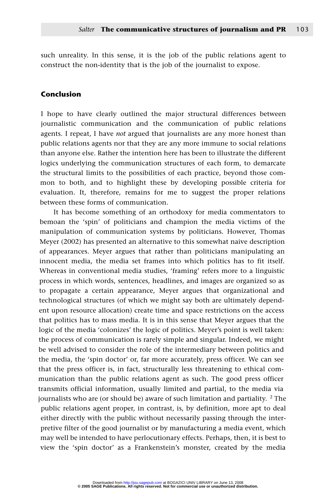such unreality. In this sense, it is the job of the public relations agent to construct the non-identity that is the job of the journalist to expose.

#### **Conclusion**

I hope to have clearly outlined the major structural differences between journalistic communication and the communication of public relations agents. I repeat, I have *not* argued that journalists are any more honest than public relations agents nor that they are any more immune to social relations than anyone else. Rather the intention here has been to illustrate the different logics underlying the communication structures of each form, to demarcate the structural limits to the possibilities of each practice, beyond those common to both, and to highlight these by developing possible criteria for evaluation. It, therefore, remains for me to suggest the proper relations between these forms of communication.

It has become something of an orthodoxy for media commentators to bemoan the 'spin' of politicians and champion the media victims of the manipulation of communication systems by politicians. However, Thomas Meyer (2002) has presented an alternative to this somewhat naive description of appearances. Meyer argues that rather than politicians manipulating an innocent media, the media set frames into which politics has to fit itself. Whereas in conventional media studies, 'framing' refers more to a linguistic process in which words, sentences, headlines, and images are organized so as to propagate a certain appearance, Meyer argues that organizational and technological structures (of which we might say both are ultimately dependent upon resource allocation) create time and space restrictions on the access that politics has to mass media. It is in this sense that Meyer argues that the logic of the media 'colonizes' the logic of politics. Meyer's point is well taken: the process of communication is rarely simple and singular. Indeed, we might be well advised to consider the role of the intermediary between politics and the media, the 'spin doctor' or, far more accurately, press officer. We can see that the press officer is, in fact, structurally less threatening to ethical communication than the public relations agent as such. The good press officer transmits official information, usually limited and partial, to the media via journalists who are (or should be) aware of such limitation and partiality.  $2$  The public relations agent proper, in contrast, is, by definition, more apt to deal either directly with the public without necessarily passing through the interpretive filter of the good journalist or by manufacturing a media event, which may well be intended to have perlocutionary effects. Perhaps, then, it is best to view the 'spin doctor' as a Frankenstein's monster, created by the media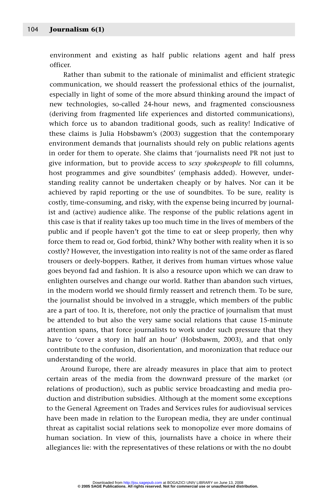environment and existing as half public relations agent and half press officer.

Rather than submit to the rationale of minimalist and efficient strategic communication, we should reassert the professional ethics of the journalist, especially in light of some of the more absurd thinking around the impact of new technologies, so-called 24-hour news, and fragmented consciousness (deriving from fragmented life experiences and distorted communications), which force us to abandon traditional goods, such as reality! Indicative of these claims is Julia Hobsbawm's (2003) suggestion that the contemporary environment demands that journalists should rely on public relations agents in order for them to operate. She claims that 'journalists need PR not just to give information, but to provide access to *sexy spokespeople* to fill columns, host programmes and give soundbites' (emphasis added). However, understanding reality cannot be undertaken cheaply or by halves. Nor can it be achieved by rapid reporting or the use of soundbites. To be sure, reality is costly, time-consuming, and risky, with the expense being incurred by journalist and (active) audience alike. The response of the public relations agent in this case is that if reality takes up too much time in the lives of members of the public and if people haven't got the time to eat or sleep properly, then why force them to read or, God forbid, think? Why bother with reality when it is so costly? However, the investigation into reality is not of the same order as flared trousers or deely-boppers. Rather, it derives from human virtues whose value goes beyond fad and fashion. It is also a resource upon which we can draw to enlighten ourselves and change our world. Rather than abandon such virtues, in the modern world we should firmly reassert and retrench them. To be sure, the journalist should be involved in a struggle, which members of the public are a part of too. It is, therefore, not only the practice of journalism that must be attended to but also the very same social relations that cause 15-minute attention spans, that force journalists to work under such pressure that they have to 'cover a story in half an hour' (Hobsbawm, 2003), and that only contribute to the confusion, disorientation, and moronization that reduce our understanding of the world.

Around Europe, there are already measures in place that aim to protect certain areas of the media from the downward pressure of the market (or relations of production), such as public service broadcasting and media production and distribution subsidies. Although at the moment some exceptions to the General Agreement on Trades and Services rules for audiovisual services have been made in relation to the European media, they are under continual threat as capitalist social relations seek to monopolize ever more domains of human sociation. In view of this, journalists have a choice in where their allegiances lie: with the representatives of these relations or with the no doubt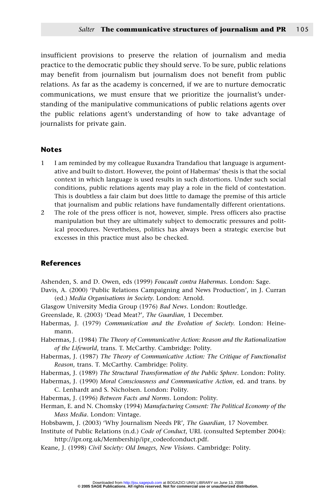insufficient provisions to preserve the relation of journalism and media practice to the democratic public they should serve. To be sure, public relations may benefit from journalism but journalism does not benefit from public relations. As far as the academy is concerned, if we are to nurture democratic communications, we must ensure that we prioritize the journalist's understanding of the manipulative communications of public relations agents over the public relations agent's understanding of how to take advantage of journalists for private gain.

#### **Notes**

- 1 I am reminded by my colleague Ruxandra Trandafiou that language is argumentative and built to distort. However, the point of Habermas' thesis is that the social context in which language is used results in such distortions. Under such social conditions, public relations agents may play a role in the field of contestation. This is doubtless a fair claim but does little to damage the premise of this article that journalism and public relations have fundamentally different orientations.
- 2 The role of the press officer is not, however, simple. Press officers also practise manipulation but they are ultimately subject to democratic pressures and political procedures. Nevertheless, politics has always been a strategic exercise but excesses in this practice must also be checked.

#### **References**

Ashenden, S. and D. Owen, eds (1999) *Foucault contra Habermas*. London: Sage.

- Davis, A. (2000) 'Public Relations Campaigning and News Production', in J. Curran (ed.) *Media Organisations in Society*. London: Arnold.
- Glasgow University Media Group (1976) *Bad News.* London: Routledge.
- Greenslade, R. (2003) 'Dead Meat?', *The Guardian*, 1 December.
- Habermas, J. (1979) *Communication and the Evolution of Society.* London: Heinemann.
- Habermas, J. (1984) *The Theory of Communicative Action: Reason and the Rationalization of the Lifeworld*, trans. T. McCarthy. Cambridge: Polity.
- Habermas, J. (1987) *The Theory of Communicative Action: The Critique of Functionalist Reason*, trans. T. McCarthy. Cambridge: Polity.

Habermas, J. (1989) *The Structural Transformation of the Public Sphere*. London: Polity.

- Habermas, J. (1990) *Moral Consciousness and Communicative Action*, ed. and trans. by C. Lenhardt and S. Nicholsen. London: Polity.
- Habermas, J. (1996) *Between Facts and Norms*. London: Polity.
- Herman, E. and N. Chomsky (1994) *Manufacturing Consent: The Political Economy of the Mass Media*. London: Vintage.

Hobsbawm, J. (2003) 'Why Journalism Needs PR', *The Guardian*, 17 November.

- Institute of Public Relations (n.d.) *Code of Conduct*, URL (consulted September 2004): http://ipr.org.uk/Membership/ipr\_codeofconduct.pdf.
- Keane, J. (1998) *Civil Society: Old Images, New Visions.* Cambridge: Polity.